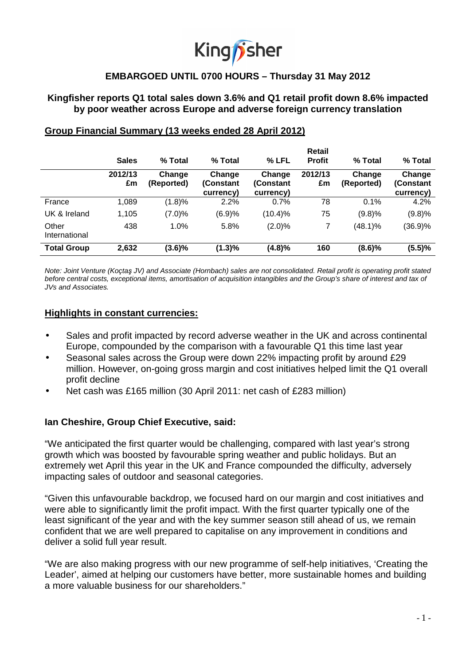# King *f* sher

# **EMBARGOED UNTIL 0700 HOURS – Thursday 31 May 2012**

## **Kingfisher reports Q1 total sales down 3.6% and Q1 retail profit down 8.6% impacted by poor weather across Europe and adverse foreign currency translation**

|                        | <b>Sales</b>  | % Total              | % Total                          | % LFL                            | Retail<br><b>Profit</b> | % Total              | % Total                          |
|------------------------|---------------|----------------------|----------------------------------|----------------------------------|-------------------------|----------------------|----------------------------------|
|                        | 2012/13<br>£m | Change<br>(Reported) | Change<br>(Constant<br>currency) | Change<br>(Constant<br>currency) | 2012/13<br>£m           | Change<br>(Reported) | Change<br>(Constant<br>currency) |
| France                 | 1,089         | (1.8)%               | 2.2%                             | 0.7%                             | 78                      | 0.1%                 | 4.2%                             |
| UK & Ireland           | 1,105         | (7.0)%               | (6.9)%                           | $(10.4)\%$                       | 75                      | (9.8)%               | (9.8)%                           |
| Other<br>International | 438           | 1.0%                 | 5.8%                             | (2.0)%                           | 7                       | $(48.1)\%$           | (36.9)%                          |
| <b>Total Group</b>     | 2,632         | $(3.6)\%$            | (1.3)%                           | (4.8)%                           | 160                     | (8.6)%               | (5.5)%                           |

## **Group Financial Summary (13 weeks ended 28 April 2012)**

Note: Joint Venture (Koçtaş JV) and Associate (Hornbach) sales are not consolidated. Retail profit is operating profit stated before central costs, exceptional items, amortisation of acquisition intangibles and the Group's share of interest and tax of JVs and Associates.

## **Highlights in constant currencies:**

- Sales and profit impacted by record adverse weather in the UK and across continental Europe, compounded by the comparison with a favourable Q1 this time last year
- Seasonal sales across the Group were down 22% impacting profit by around £29 million. However, on-going gross margin and cost initiatives helped limit the Q1 overall profit decline
- Net cash was £165 million (30 April 2011: net cash of £283 million)

## **Ian Cheshire, Group Chief Executive, said:**

"We anticipated the first quarter would be challenging, compared with last year's strong growth which was boosted by favourable spring weather and public holidays. But an extremely wet April this year in the UK and France compounded the difficulty, adversely impacting sales of outdoor and seasonal categories.

"Given this unfavourable backdrop, we focused hard on our margin and cost initiatives and were able to significantly limit the profit impact. With the first quarter typically one of the least significant of the year and with the key summer season still ahead of us, we remain confident that we are well prepared to capitalise on any improvement in conditions and deliver a solid full year result.

"We are also making progress with our new programme of self-help initiatives, 'Creating the Leader', aimed at helping our customers have better, more sustainable homes and building a more valuable business for our shareholders."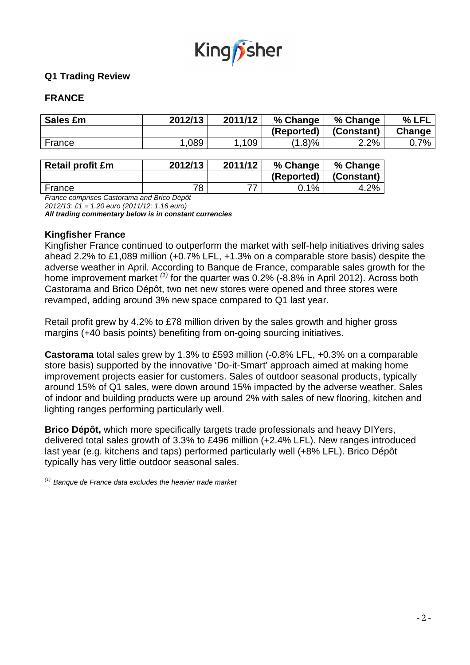

# **Q1 Trading Review**

## **FRANCE**

| Sales £m | 2012/13 | 2011/12 | % Change   | % Change   | % LFL  |
|----------|---------|---------|------------|------------|--------|
|          |         |         | (Reported) | (Constant) | Change |
| France   | .089    | 109     | $(1.8)\%$  | 2.2%       | 0.7%   |

| <b>Retail profit £m</b> | 2012/13 | 2011/12 | % Change   | % Change   |
|-------------------------|---------|---------|------------|------------|
|                         |         |         | (Reported) | (Constant) |
| France                  | 78      |         | $0.1\%$    | 4.2%       |

France comprises Castorama and Brico Dépôt

2012/13: £1 = 1.20 euro (2011/12: 1.16 euro)

**All trading commentary below is in constant currencies**

## **Kingfisher France**

Kingfisher France continued to outperform the market with self-help initiatives driving sales ahead 2.2% to £1,089 million (+0.7% LFL, +1.3% on a comparable store basis) despite the adverse weather in April. According to Banque de France, comparable sales growth for the home improvement market  $(1)$  for the quarter was 0.2% (-8.8% in April 2012). Across both Castorama and Brico Dépôt, two net new stores were opened and three stores were revamped, adding around 3% new space compared to Q1 last year.

Retail profit grew by 4.2% to £78 million driven by the sales growth and higher gross margins (+40 basis points) benefiting from on-going sourcing initiatives.

**Castorama** total sales grew by 1.3% to £593 million (-0.8% LFL, +0.3% on a comparable store basis) supported by the innovative 'Do-it-Smart' approach aimed at making home improvement projects easier for customers. Sales of outdoor seasonal products, typically around 15% of Q1 sales, were down around 15% impacted by the adverse weather. Sales of indoor and building products were up around 2% with sales of new flooring, kitchen and lighting ranges performing particularly well.

**Brico Dépôt,** which more specifically targets trade professionals and heavy DIYers, delivered total sales growth of 3.3% to £496 million (+2.4% LFL). New ranges introduced last year (e.g. kitchens and taps) performed particularly well (+8% LFL). Brico Dépôt typically has very little outdoor seasonal sales.

 $(1)$  Banque de France data excludes the heavier trade market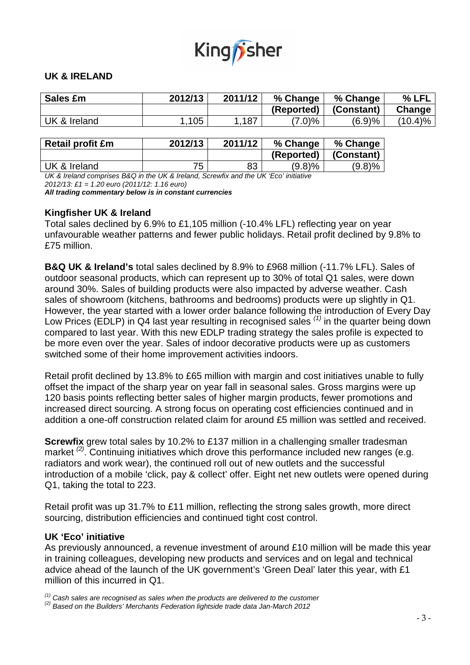

## **UK & IRELAND**

| Sales £m                | 2012/13 | 2011/12 | % Change   | % Change   | % LFL      |
|-------------------------|---------|---------|------------|------------|------------|
|                         |         |         | (Reported) | (Constant) | Change     |
| UK & Ireland            | 1,105   | 1.187   | $(7.0)\%$  | (6.9)%     | $(10.4)\%$ |
|                         |         |         |            |            |            |
| <b>Retail profit £m</b> | 2012/13 | 2011/12 | % Change   | % Change   |            |

**(Reported) (Constant)**

UK & Ireland  $\begin{array}{ccc} 1 & 75 & 83 & 9.8\% \end{array}$  (9.8)% (9.8)% UK & Ireland comprises B&Q in the UK & Ireland, Screwfix and the UK 'Eco' initiative

2012/13: £1 = 1.20 euro (2011/12: 1.16 euro)

**All trading commentary below is in constant currencies**

## **Kingfisher UK & Ireland**

Total sales declined by 6.9% to £1,105 million (-10.4% LFL) reflecting year on year unfavourable weather patterns and fewer public holidays. Retail profit declined by 9.8% to £75 million.

**B&Q UK & Ireland's** total sales declined by 8.9% to £968 million (-11.7% LFL). Sales of outdoor seasonal products, which can represent up to 30% of total Q1 sales, were down around 30%. Sales of building products were also impacted by adverse weather. Cash sales of showroom (kitchens, bathrooms and bedrooms) products were up slightly in Q1. However, the year started with a lower order balance following the introduction of Every Day Low Prices (EDLP) in Q4 last year resulting in recognised sales  $(1)$  in the quarter being down compared to last year. With this new EDLP trading strategy the sales profile is expected to be more even over the year. Sales of indoor decorative products were up as customers switched some of their home improvement activities indoors.

Retail profit declined by 13.8% to £65 million with margin and cost initiatives unable to fully offset the impact of the sharp year on year fall in seasonal sales. Gross margins were up 120 basis points reflecting better sales of higher margin products, fewer promotions and increased direct sourcing. A strong focus on operating cost efficiencies continued and in addition a one-off construction related claim for around £5 million was settled and received.

**Screwfix** grew total sales by 10.2% to £137 million in a challenging smaller tradesman market  $(2)$ . Continuing initiatives which drove this performance included new ranges (e.g. radiators and work wear), the continued roll out of new outlets and the successful introduction of a mobile 'click, pay & collect' offer. Eight net new outlets were opened during Q1, taking the total to 223.

Retail profit was up 31.7% to £11 million, reflecting the strong sales growth, more direct sourcing, distribution efficiencies and continued tight cost control.

## **UK 'Eco' initiative**

As previously announced, a revenue investment of around £10 million will be made this year in training colleagues, developing new products and services and on legal and technical advice ahead of the launch of the UK government's 'Green Deal' later this year, with £1 million of this incurred in Q1.

 $<sup>(1)</sup>$  Cash sales are recognised as sales when the products are delivered to the customer</sup>

 $^{(2)}$  Based on the Builders' Merchants Federation lightside trade data Jan-March 2012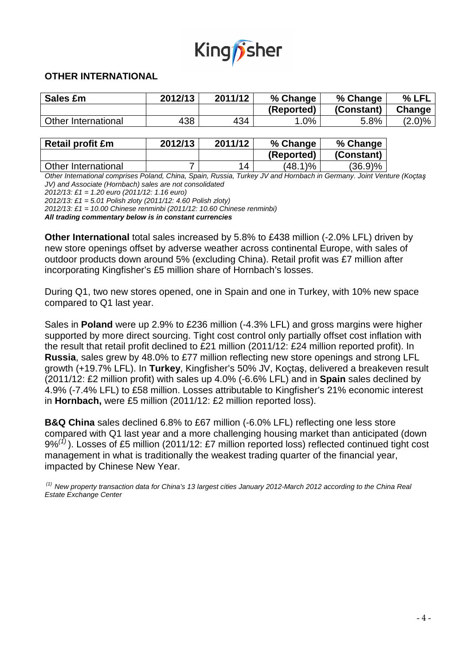

## **OTHER INTERNATIONAL**

| Sales £m            | 2012/13 | 2011/12 | % Change   | % Change   | % LFL     |
|---------------------|---------|---------|------------|------------|-----------|
|                     |         |         | (Reported) | (Constant) | Change    |
| Other International | 438     | 434     | $.0\%$     | 5.8%       | $(2.0)\%$ |

| <b>Retail profit £m</b> | 2012/13 | 2011/12 | % Change   | % Change   |  |
|-------------------------|---------|---------|------------|------------|--|
|                         |         |         | (Reported) | (Constant) |  |
| Other International     |         | 14      | (48.1)%    | $(36.9)\%$ |  |

Other International comprises Poland, China, Spain, Russia, Turkey JV and Hornbach in Germany. Joint Venture (Koçtaş JV) and Associate (Hornbach) sales are not consolidated

2012/13: £1 = 1.20 euro (2011/12: 1.16 euro)

2012/13: £1 = 5.01 Polish zloty (2011/12: 4.60 Polish zloty)

2012/13: £1 = 10.00 Chinese renminbi (2011/12: 10.60 Chinese renminbi)

**All trading commentary below is in constant currencies** 

**Other International** total sales increased by 5.8% to £438 million (-2.0% LFL) driven by new store openings offset by adverse weather across continental Europe, with sales of outdoor products down around 5% (excluding China). Retail profit was £7 million after incorporating Kingfisher's £5 million share of Hornbach's losses.

During Q1, two new stores opened, one in Spain and one in Turkey, with 10% new space compared to Q1 last year.

Sales in **Poland** were up 2.9% to £236 million (-4.3% LFL) and gross margins were higher supported by more direct sourcing. Tight cost control only partially offset cost inflation with the result that retail profit declined to £21 million (2011/12: £24 million reported profit). In **Russia**, sales grew by 48.0% to £77 million reflecting new store openings and strong LFL growth (+19.7% LFL). In **Turkey**, Kingfisher's 50% JV, Koçtaş, delivered a breakeven result (2011/12: £2 million profit) with sales up 4.0% (-6.6% LFL) and in **Spain** sales declined by 4.9% (-7.4% LFL) to £58 million. Losses attributable to Kingfisher's 21% economic interest in **Hornbach,** were £5 million (2011/12: £2 million reported loss).

**B&Q China** sales declined 6.8% to £67 million (-6.0% LFL) reflecting one less store compared with Q1 last year and a more challenging housing market than anticipated (down  $9\%^{(1)}$ ). Losses of £5 million (2011/12: £7 million reported loss) reflected continued tight cost management in what is traditionally the weakest trading quarter of the financial year, impacted by Chinese New Year.

 $^{(1)}$  New property transaction data for China's 13 largest cities January 2012-March 2012 according to the China Real Estate Exchange Center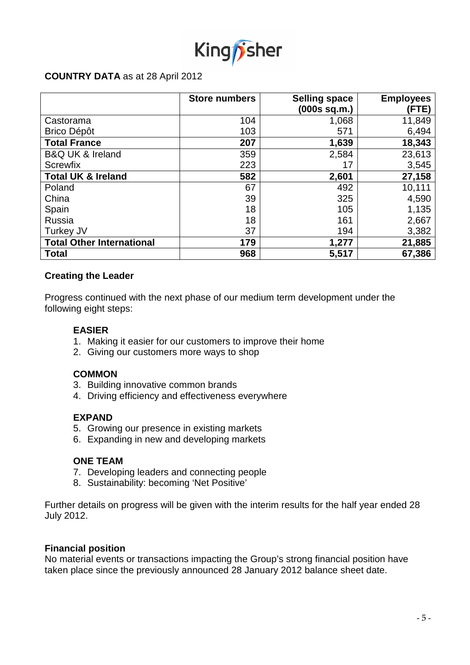

## **COUNTRY DATA** as at 28 April 2012

|                                  | <b>Store numbers</b> | <b>Selling space</b><br>(000s sq.m.) | <b>Employees</b><br>(FTE) |
|----------------------------------|----------------------|--------------------------------------|---------------------------|
| Castorama                        | 104                  | 1,068                                | 11,849                    |
| <b>Brico Dépôt</b>               | 103                  | 571                                  | 6,494                     |
| <b>Total France</b>              | 207                  | 1,639                                | 18,343                    |
| <b>B&amp;Q UK &amp; Ireland</b>  | 359                  | 2,584                                | 23,613                    |
| <b>Screwfix</b>                  | 223                  | 17                                   | 3,545                     |
| <b>Total UK &amp; Ireland</b>    | 582                  | 2,601                                | 27,158                    |
| Poland                           | 67                   | 492                                  | 10,111                    |
| China                            | 39                   | 325                                  | 4,590                     |
| Spain                            | 18                   | 105                                  | 1,135                     |
| Russia                           | 18                   | 161                                  | 2,667                     |
| Turkey JV                        | 37                   | 194                                  | 3,382                     |
| <b>Total Other International</b> | 179                  | 1,277                                | 21,885                    |
| <b>Total</b>                     | 968                  | 5,517                                | 67,386                    |

## **Creating the Leader**

Progress continued with the next phase of our medium term development under the following eight steps:

## **EASIER**

- 1. Making it easier for our customers to improve their home
- 2. Giving our customers more ways to shop

#### **COMMON**

- 3. Building innovative common brands
- 4. Driving efficiency and effectiveness everywhere

#### **EXPAND**

- 5. Growing our presence in existing markets
- 6. Expanding in new and developing markets

## **ONE TEAM**

- 7. Developing leaders and connecting people
- 8. Sustainability: becoming 'Net Positive'

Further details on progress will be given with the interim results for the half year ended 28 July 2012.

#### **Financial position**

No material events or transactions impacting the Group's strong financial position have taken place since the previously announced 28 January 2012 balance sheet date.